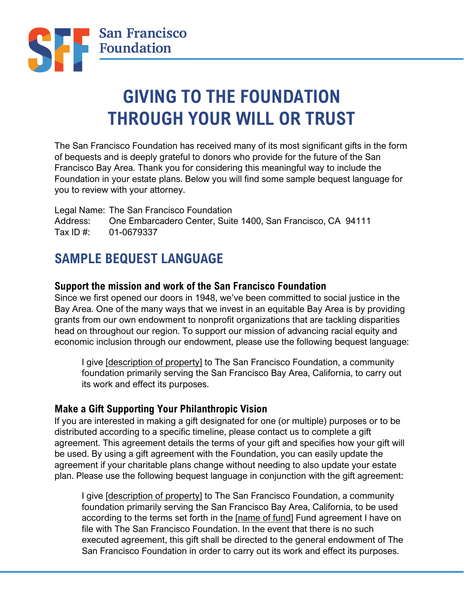

# **GIVING TO THE FOUNDATION THROUGH YOUR WILL OR TRUST**

The San Francisco Foundation has received many of its most significant gifts in the form of bequests and is deeply grateful to donors who provide for the future of the San Francisco Bay Area. Thank you for considering this meaningful way to include the Foundation in your estate plans. Below you will find some sample bequest language for you to review with your attorney.

Legal Name: The San Francisco Foundation Address: One Embarcadero Center, Suite 1400, San Francisco, CA 94111 Tax ID #: 01-0679337

## **SAMPLE BEQUEST LANGUAGE**

#### **Support the mission and work of the San Francisco Foundation**

Since we first opened our doors in 1948, we've been committed to social justice in the Bay Area. One of the many ways that we invest in an equitable Bay Area is by providing grants from our own endowment to nonprofit organizations that are tackling disparities head on throughout our region. To support our mission of advancing racial equity and economic inclusion through our endowment, please use the following bequest language:

I give [description of property] to The San Francisco Foundation, a community foundation primarily serving the San Francisco Bay Area, California, to carry out its work and effect its purposes.

#### **Make a Gift Supporting Your Philanthropic Vision**

If you are interested in making a gift designated for one (or multiple) purposes or to be distributed according to a specific timeline, please contact us to complete a gift agreement. This agreement details the terms of your gift and specifies how your gift will be used. By using a gift agreement with the Foundation, you can easily update the agreement if your charitable plans change without needing to also update your estate plan. Please use the following bequest language in conjunction with the gift agreement:

I give [description of property] to The San Francisco Foundation, a community foundation primarily serving the San Francisco Bay Area, California, to be used according to the terms set forth in the [name of fund] Fund agreement I have on file with The San Francisco Foundation. In the event that there is no such executed agreement, this gift shall be directed to the general endowment of The San Francisco Foundation in order to carry out its work and effect its purposes.